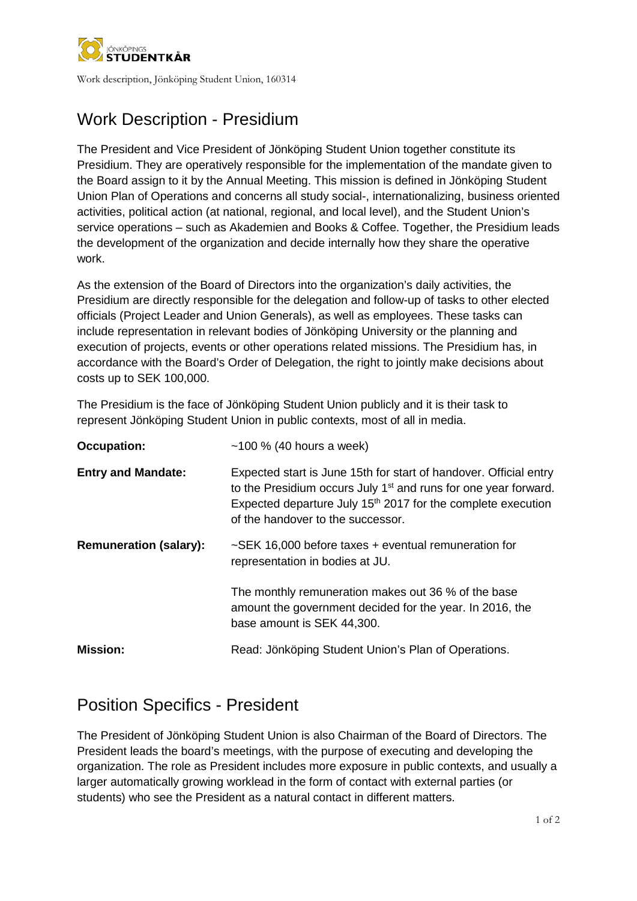

Work description, Jönköping Student Union, 160314

# Work Description - Presidium

The President and Vice President of Jönköping Student Union together constitute its Presidium. They are operatively responsible for the implementation of the mandate given to the Board assign to it by the Annual Meeting. This mission is defined in Jönköping Student Union Plan of Operations and concerns all study social-, internationalizing, business oriented activities, political action (at national, regional, and local level), and the Student Union's service operations – such as Akademien and Books & Coffee. Together, the Presidium leads the development of the organization and decide internally how they share the operative work.

As the extension of the Board of Directors into the organization's daily activities, the Presidium are directly responsible for the delegation and follow-up of tasks to other elected officials (Project Leader and Union Generals), as well as employees. These tasks can include representation in relevant bodies of Jönköping University or the planning and execution of projects, events or other operations related missions. The Presidium has, in accordance with the Board's Order of Delegation, the right to jointly make decisions about costs up to SEK 100,000.

The Presidium is the face of Jönköping Student Union publicly and it is their task to represent Jönköping Student Union in public contexts, most of all in media.

| <b>Occupation:</b>            | $~100$ % (40 hours a week)                                                                                                                                                                                                                              |
|-------------------------------|---------------------------------------------------------------------------------------------------------------------------------------------------------------------------------------------------------------------------------------------------------|
| <b>Entry and Mandate:</b>     | Expected start is June 15th for start of handover. Official entry<br>to the Presidium occurs July 1 <sup>st</sup> and runs for one year forward.<br>Expected departure July $15th$ 2017 for the complete execution<br>of the handover to the successor. |
| <b>Remuneration (salary):</b> | $\sim$ SEK 16,000 before taxes + eventual remuneration for<br>representation in bodies at JU.                                                                                                                                                           |
|                               | The monthly remuneration makes out 36 % of the base<br>amount the government decided for the year. In 2016, the<br>base amount is SEK 44,300.                                                                                                           |
| <b>Mission:</b>               | Read: Jönköping Student Union's Plan of Operations.                                                                                                                                                                                                     |

### Position Specifics - President

The President of Jönköping Student Union is also Chairman of the Board of Directors. The President leads the board's meetings, with the purpose of executing and developing the organization. The role as President includes more exposure in public contexts, and usually a larger automatically growing worklead in the form of contact with external parties (or students) who see the President as a natural contact in different matters.